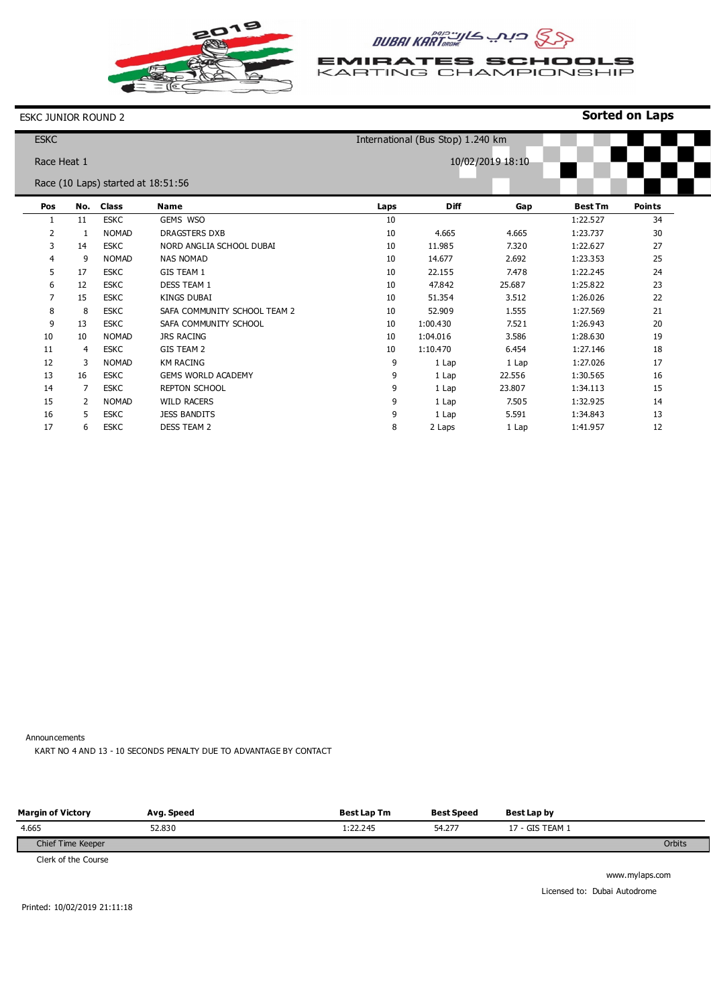

# **GSS CIAL KARTINGON DUBAI KARTING**

**EMIRATES SCHOOLS**<br>KARTING CHAMPIONSHIP

**Sorted on Laps**

### ESKC JUNIOR ROUND 2

| <b>ESKC</b>    |             |                                    |                              |      | International (Bus Stop) 1.240 km |                  |                |               |
|----------------|-------------|------------------------------------|------------------------------|------|-----------------------------------|------------------|----------------|---------------|
|                | Race Heat 1 |                                    |                              |      |                                   | 10/02/2019 18:10 |                |               |
|                |             | Race (10 Laps) started at 18:51:56 |                              |      |                                   |                  |                |               |
| Pos            | No.         | <b>Class</b>                       | <b>Name</b>                  | Laps | <b>Diff</b>                       | Gap              | <b>Best Tm</b> | <b>Points</b> |
| 1              | 11          | <b>ESKC</b>                        | GEMS WSO                     | 10   |                                   |                  | 1:22.527       | 34            |
| $\overline{2}$ | 1           | <b>NOMAD</b>                       | DRAGSTERS DXB                | 10   | 4.665                             | 4.665            | 1:23.737       | 30            |
| 3              | 14          | <b>ESKC</b>                        | NORD ANGLIA SCHOOL DUBAI     | 10   | 11.985                            | 7.320            | 1:22.627       | 27            |
| 4              | 9           | <b>NOMAD</b>                       | <b>NAS NOMAD</b>             | 10   | 14.677                            | 2.692            | 1:23.353       | 25            |
| 5              | 17          | <b>ESKC</b>                        | <b>GIS TEAM 1</b>            | 10   | 22.155                            | 7.478            | 1:22.245       | 24            |
| 6              | 12          | <b>ESKC</b>                        | DESS TEAM 1                  | 10   | 47.842                            | 25.687           | 1:25.822       | 23            |
| 7              | 15          | <b>ESKC</b>                        | <b>KINGS DUBAI</b>           | 10   | 51.354                            | 3.512            | 1:26.026       | 22            |
| 8              | 8           | <b>ESKC</b>                        | SAFA COMMUNITY SCHOOL TEAM 2 | 10   | 52.909                            | 1.555            | 1:27.569       | 21            |
| 9              | 13          | <b>ESKC</b>                        | SAFA COMMUNITY SCHOOL        | 10   | 1:00.430                          | 7.521            | 1:26.943       | 20            |
| 10             | 10          | <b>NOMAD</b>                       | <b>JRS RACING</b>            | 10   | 1:04.016                          | 3.586            | 1:28.630       | 19            |
| 11             | 4           | <b>ESKC</b>                        | <b>GIS TEAM 2</b>            | 10   | 1:10.470                          | 6.454            | 1:27.146       | 18            |
| 12             | 3           | <b>NOMAD</b>                       | <b>KM RACING</b>             | 9    | 1 Lap                             | 1 Lap            | 1:27.026       | 17            |
| 13             | 16          | <b>ESKC</b>                        | <b>GEMS WORLD ACADEMY</b>    | 9    | 1 Lap                             | 22.556           | 1:30.565       | 16            |
| 14             | 7           | <b>ESKC</b>                        | <b>REPTON SCHOOL</b>         | 9    | 1 Lap                             | 23.807           | 1:34.113       | 15            |
| 15             | 2           | <b>NOMAD</b>                       | <b>WILD RACERS</b>           | 9    | 1 Lap                             | 7.505            | 1:32.925       | 14            |
| 16             | 5           | <b>ESKC</b>                        | <b>JESS BANDITS</b>          | 9    | 1 Lap                             | 5.591            | 1:34.843       | 13            |
| 17             | 6           | <b>ESKC</b>                        | <b>DESS TEAM 2</b>           | 8    | 2 Laps                            | 1 Lap            | 1:41.957       | 12            |

Announcements

KART NO 4 AND 13 - 10 SECONDS PENALTY DUE TO ADVANTAGE BY CONTACT

| <b>Margin of Victory</b>           | Avg. Speed | <b>Best Lap Tm</b> | <b>Best Speed</b> | Best Lap by     |        |
|------------------------------------|------------|--------------------|-------------------|-----------------|--------|
| 4.665                              | 52.830     | 1:22.245           | 54.277            | 17 - GIS TEAM 1 |        |
| Chief Time Keeper                  |            |                    |                   |                 | Orbits |
| $\sim$ $\sim$ $\sim$ $\sim$ $\sim$ |            |                    |                   |                 |        |

Clerk of the Course

www.mylaps.com Licensed to: Dubai Autodrome

Printed: 10/02/2019 21:11:18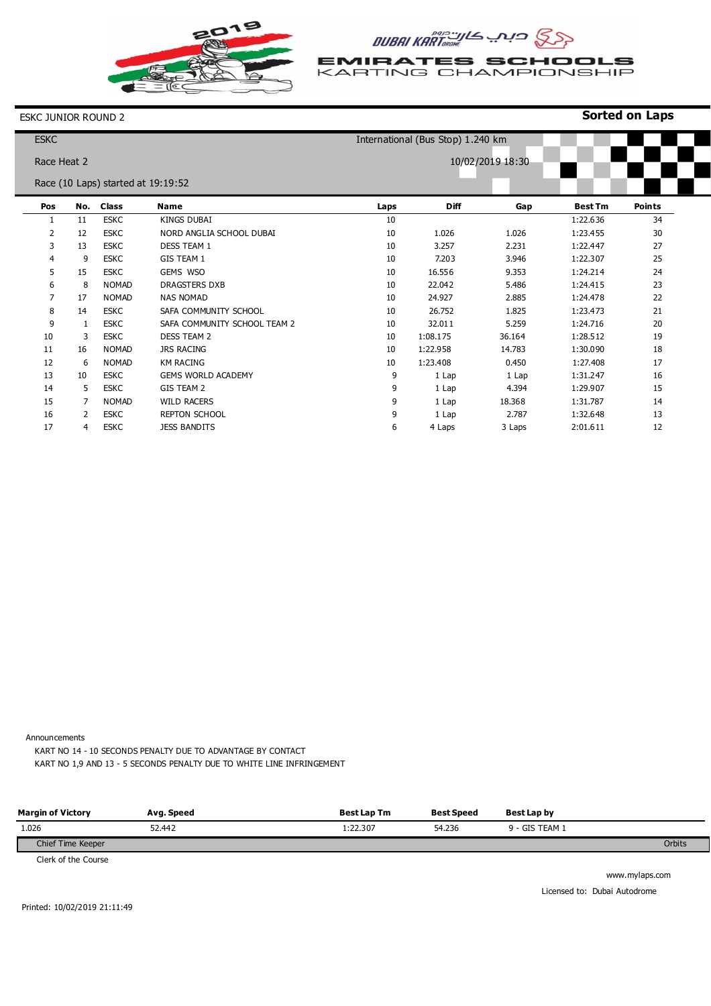

# **GSS CIA KARTING ALL SAM INBUL**

**EMIRATES SCHOOLS**<br>KARTING CHAMPIONSHIP

**Sorted on Laps**

#### ESKC JUNIOR ROUND 2

| <b>ESKC</b>    |                |                                    |                              | International (Bus Stop) 1.240 km |             |                  |                |               |
|----------------|----------------|------------------------------------|------------------------------|-----------------------------------|-------------|------------------|----------------|---------------|
|                | Race Heat 2    |                                    |                              |                                   |             | 10/02/2019 18:30 |                |               |
|                |                | Race (10 Laps) started at 19:19:52 |                              |                                   |             |                  |                |               |
| Pos            | No.            | <b>Class</b>                       | <b>Name</b>                  | Laps                              | <b>Diff</b> | Gap              | <b>Best Tm</b> | <b>Points</b> |
| 1              | 11             | <b>ESKC</b>                        | <b>KINGS DUBAI</b>           | 10                                |             |                  | 1:22.636       | 34            |
| $\overline{2}$ | 12             | <b>ESKC</b>                        | NORD ANGLIA SCHOOL DUBAI     | 10                                | 1.026       | 1.026            | 1:23.455       | 30            |
| 3              | 13             | <b>ESKC</b>                        | DESS TEAM 1                  | 10                                | 3.257       | 2.231            | 1:22.447       | 27            |
| 4              | 9              | <b>ESKC</b>                        | GIS TEAM 1                   | 10                                | 7.203       | 3.946            | 1:22.307       | 25            |
| 5              | 15             | <b>ESKC</b>                        | GEMS WSO                     | 10                                | 16.556      | 9.353            | 1:24.214       | 24            |
| 6              | 8              | <b>NOMAD</b>                       | DRAGSTERS DXB                | 10                                | 22.042      | 5.486            | 1:24.415       | 23            |
| 7              | 17             | <b>NOMAD</b>                       | <b>NAS NOMAD</b>             | 10                                | 24.927      | 2.885            | 1:24.478       | 22            |
| 8              | 14             | <b>ESKC</b>                        | SAFA COMMUNITY SCHOOL        | 10                                | 26.752      | 1.825            | 1:23.473       | 21            |
| 9              | 1              | <b>ESKC</b>                        | SAFA COMMUNITY SCHOOL TEAM 2 | 10                                | 32.011      | 5.259            | 1:24.716       | 20            |
| 10             | 3              | <b>ESKC</b>                        | <b>DESS TEAM 2</b>           | 10                                | 1:08.175    | 36.164           | 1:28.512       | 19            |
| 11             | 16             | <b>NOMAD</b>                       | <b>JRS RACING</b>            | 10                                | 1:22.958    | 14.783           | 1:30.090       | 18            |
| 12             | 6              | <b>NOMAD</b>                       | <b>KM RACING</b>             | 10                                | 1:23.408    | 0.450            | 1:27.408       | 17            |
| 13             | 10             | <b>ESKC</b>                        | <b>GEMS WORLD ACADEMY</b>    | 9                                 | 1 Lap       | 1 Lap            | 1:31.247       | 16            |
| 14             | 5              | <b>ESKC</b>                        | GIS TEAM 2                   | 9                                 | 1 Lap       | 4.394            | 1:29.907       | 15            |
| 15             |                | <b>NOMAD</b>                       | <b>WILD RACERS</b>           | 9                                 | 1 Lap       | 18.368           | 1:31.787       | 14            |
| 16             | $\overline{2}$ | <b>ESKC</b>                        | <b>REPTON SCHOOL</b>         | 9                                 | 1 Lap       | 2.787            | 1:32.648       | 13            |
| 17             | 4              | <b>ESKC</b>                        | <b>JESS BANDITS</b>          | 6                                 | 4 Laps      | 3 Laps           | 2:01.611       | 12            |

Announcements

KART NO 14 - 10 SECONDS PENALTY DUE TO ADVANTAGE BY CONTACT KART NO 1,9 AND 13 - 5 SECONDS PENALTY DUE TO WHITE LINE INFRINGEMENT

| <b>Margin of Victory</b> | Avg. Speed | <b>Best Lap Tm</b> | <b>Best Speed</b> | Best Lap by    |        |
|--------------------------|------------|--------------------|-------------------|----------------|--------|
| 1.026                    | 52.442     | 1:22.307           | 54.236            | 9 - GIS TEAM 1 |        |
| Chief Time Keeper        |            |                    |                   |                | Orbits |
| .                        |            |                    |                   |                |        |

Clerk of the Course

www.mylaps.com Licensed to: Dubai Autodrome

Printed: 10/02/2019 21:11:49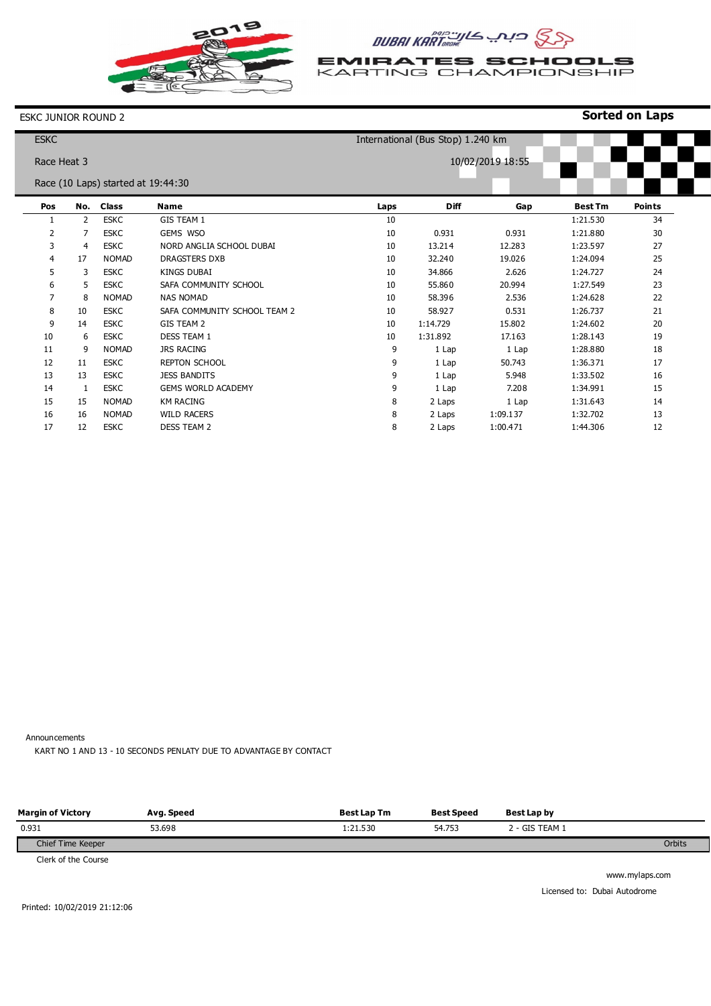

# **GSS CIA KARTING ALL SAD BUBAI KARTING**

**EMIRATES SCHOOLS**<br>KARTING CHAMPIONSHIP

**Sorted on Laps**

#### ESKC JUNIOR ROUND 2

| <b>ESKC</b>    |     |                                    |                              |      | International (Bus Stop) 1.240 km |                  |                |               |
|----------------|-----|------------------------------------|------------------------------|------|-----------------------------------|------------------|----------------|---------------|
| Race Heat 3    |     |                                    |                              |      |                                   | 10/02/2019 18:55 |                |               |
|                |     | Race (10 Laps) started at 19:44:30 |                              |      |                                   |                  |                |               |
|                |     |                                    |                              |      |                                   |                  |                |               |
| Pos            | No. | <b>Class</b>                       | <b>Name</b>                  | Laps | <b>Diff</b>                       | Gap              | <b>Best Tm</b> | <b>Points</b> |
| 1              | 2   | <b>ESKC</b>                        | <b>GIS TEAM 1</b>            | 10   |                                   |                  | 1:21.530       | 34            |
| 2              | 7   | <b>ESKC</b>                        | GEMS WSO                     | 10   | 0.931                             | 0.931            | 1:21.880       | 30            |
| 3              | 4   | <b>ESKC</b>                        | NORD ANGLIA SCHOOL DUBAI     | 10   | 13.214                            | 12.283           | 1:23.597       | 27            |
| $\overline{4}$ | 17  | <b>NOMAD</b>                       | <b>DRAGSTERS DXB</b>         | 10   | 32.240                            | 19.026           | 1:24.094       | 25            |
| 5              | 3   | <b>ESKC</b>                        | KINGS DUBAI                  | 10   | 34.866                            | 2.626            | 1:24.727       | 24            |
| 6              | 5   | <b>ESKC</b>                        | SAFA COMMUNITY SCHOOL        | 10   | 55.860                            | 20.994           | 1:27.549       | 23            |
| 7              | 8   | <b>NOMAD</b>                       | <b>NAS NOMAD</b>             | 10   | 58.396                            | 2.536            | 1:24.628       | 22            |
| 8              | 10  | <b>ESKC</b>                        | SAFA COMMUNITY SCHOOL TEAM 2 | 10   | 58.927                            | 0.531            | 1:26.737       | 21            |
| 9              | 14  | <b>ESKC</b>                        | GIS TEAM 2                   | 10   | 1:14.729                          | 15.802           | 1:24.602       | 20            |
| 10             | 6   | <b>ESKC</b>                        | <b>DESS TEAM 1</b>           | 10   | 1:31.892                          | 17.163           | 1:28.143       | 19            |
| 11             | 9   | <b>NOMAD</b>                       | <b>JRS RACING</b>            | 9    | 1 Lap                             | 1 Lap            | 1:28.880       | 18            |
| 12             | 11  | <b>ESKC</b>                        | <b>REPTON SCHOOL</b>         | 9    | 1 Lap                             | 50.743           | 1:36.371       | 17            |
| 13             | 13  | <b>ESKC</b>                        | <b>JESS BANDITS</b>          | 9    | 1 Lap                             | 5.948            | 1:33.502       | 16            |
| 14             | 1   | <b>ESKC</b>                        | <b>GEMS WORLD ACADEMY</b>    | 9    | 1 Lap                             | 7.208            | 1:34.991       | 15            |
| 15             | 15  | <b>NOMAD</b>                       | <b>KM RACING</b>             | 8    | 2 Laps                            | 1 Lap            | 1:31.643       | 14            |
| 16             | 16  | <b>NOMAD</b>                       | <b>WILD RACERS</b>           | 8    | 2 Laps                            | 1:09.137         | 1:32.702       | 13            |
| 17             | 12  | <b>ESKC</b>                        | <b>DESS TEAM 2</b>           | 8    | 2 Laps                            | 1:00.471         | 1:44.306       | 12            |

Announcements

KART NO 1 AND 13 - 10 SECONDS PENLATY DUE TO ADVANTAGE BY CONTACT

| <b>Margin of Victory</b>           | Avg. Speed | <b>Best Lap Tm</b> | <b>Best Speed</b> | Best Lap by    |        |
|------------------------------------|------------|--------------------|-------------------|----------------|--------|
| 0.931                              | 53.698     | 1:21.530           | 54.753            | 2 - GIS TEAM 1 |        |
| Chief Time Keeper                  |            |                    |                   |                | Orbits |
| $\sim$ $\sim$ $\sim$ $\sim$ $\sim$ |            |                    |                   |                |        |

Clerk of the Course

www.mylaps.com Licensed to: Dubai Autodrome

Printed: 10/02/2019 21:12:06